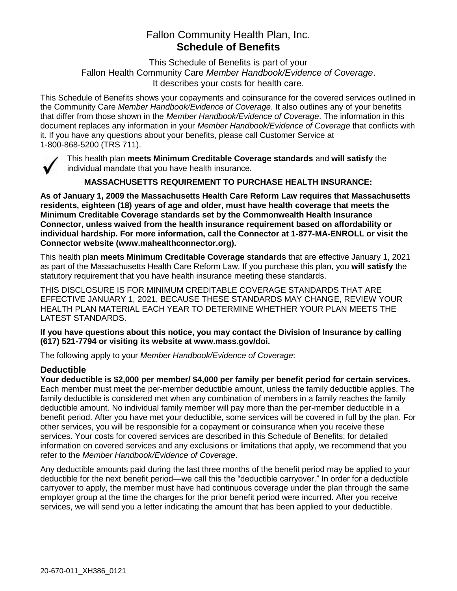# Fallon Community Health Plan, Inc. **Schedule of Benefits**

This Schedule of Benefits is part of your Fallon Health Community Care *Member Handbook/Evidence of Coverage*. It describes your costs for health care.

This Schedule of Benefits shows your copayments and coinsurance for the covered services outlined in the Community Care *Member Handbook/Evidence of Coverage*. It also outlines any of your benefits that differ from those shown in the *Member Handbook/Evidence of Coverage*. The information in this document replaces any information in your *Member Handbook/Evidence of Coverage* that conflicts with it. If you have any questions about your benefits, please call Customer Service at 1-800-868-5200 (TRS 711).



This health plan **meets Minimum Creditable Coverage standards** and **will satisfy** the individual mandate that you have health insurance.

**MASSACHUSETTS REQUIREMENT TO PURCHASE HEALTH INSURANCE:**

**As of January 1, 2009 the Massachusetts Health Care Reform Law requires that Massachusetts residents, eighteen (18) years of age and older, must have health coverage that meets the Minimum Creditable Coverage standards set by the Commonwealth Health Insurance Connector, unless waived from the health insurance requirement based on affordability or individual hardship. For more information, call the Connector at 1-877-MA-ENROLL or visit the Connector website (www.mahealthconnector.org).**

This health plan **meets Minimum Creditable Coverage standards** that are effective January 1, 2021 as part of the Massachusetts Health Care Reform Law. If you purchase this plan, you **will satisfy** the statutory requirement that you have health insurance meeting these standards.

THIS DISCLOSURE IS FOR MINIMUM CREDITABLE COVERAGE STANDARDS THAT ARE EFFECTIVE JANUARY 1, 2021. BECAUSE THESE STANDARDS MAY CHANGE, REVIEW YOUR HEALTH PLAN MATERIAL EACH YEAR TO DETERMINE WHETHER YOUR PLAN MEETS THE LATEST STANDARDS.

**If you have questions about this notice, you may contact the Division of Insurance by calling (617) 521-7794 or visiting its website at www.mass.gov/doi.** 

The following apply to your *Member Handbook/Evidence of Coverage*:

#### **Deductible**

**Your deductible is \$2,000 per member/ \$4,000 per family per benefit period for certain services.** Each member must meet the per-member deductible amount, unless the family deductible applies. The family deductible is considered met when any combination of members in a family reaches the family deductible amount. No individual family member will pay more than the per-member deductible in a benefit period. After you have met your deductible, some services will be covered in full by the plan. For other services, you will be responsible for a copayment or coinsurance when you receive these services. Your costs for covered services are described in this Schedule of Benefits; for detailed information on covered services and any exclusions or limitations that apply, we recommend that you refer to the *Member Handbook/Evidence of Coverage*.

Any deductible amounts paid during the last three months of the benefit period may be applied to your deductible for the next benefit period—we call this the "deductible carryover." In order for a deductible carryover to apply, the member must have had continuous coverage under the plan through the same employer group at the time the charges for the prior benefit period were incurred. After you receive services, we will send you a letter indicating the amount that has been applied to your deductible.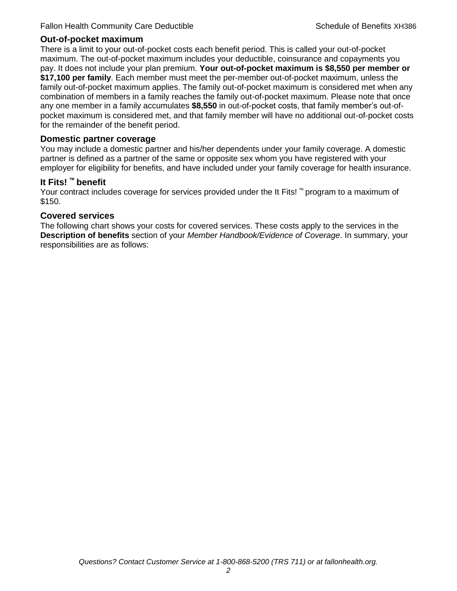#### **Out-of-pocket maximum**

There is a limit to your out-of-pocket costs each benefit period. This is called your out-of-pocket maximum. The out-of-pocket maximum includes your deductible, coinsurance and copayments you pay. It does not include your plan premium. **Your out-of-pocket maximum is \$8,550 per member or \$17,100 per family**. Each member must meet the per-member out-of-pocket maximum, unless the family out-of-pocket maximum applies. The family out-of-pocket maximum is considered met when any combination of members in a family reaches the family out-of-pocket maximum. Please note that once any one member in a family accumulates **\$8,550** in out-of-pocket costs, that family member's out-ofpocket maximum is considered met, and that family member will have no additional out-of-pocket costs for the remainder of the benefit period.

#### **Domestic partner coverage**

You may include a domestic partner and his/her dependents under your family coverage. A domestic partner is defined as a partner of the same or opposite sex whom you have registered with your employer for eligibility for benefits, and have included under your family coverage for health insurance.

#### **It Fits! ™ benefit**

Your contract includes coverage for services provided under the It Fits! ™ program to a maximum of \$150.

#### **Covered services**

The following chart shows your costs for covered services. These costs apply to the services in the **Description of benefits** section of your *Member Handbook/Evidence of Coverage*. In summary, your responsibilities are as follows: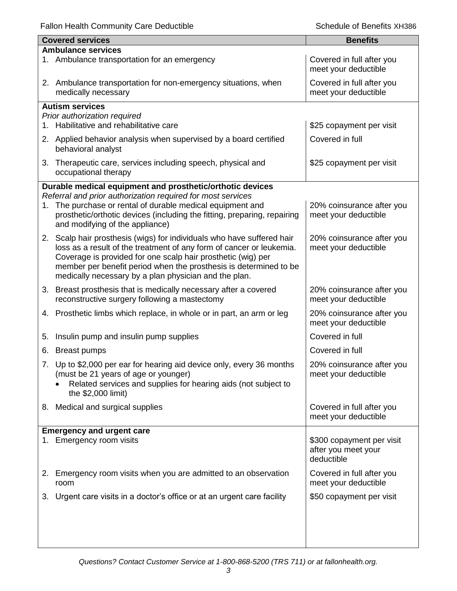|    | <b>Covered services</b>                                                                                                                                                                                                                                            | <b>Benefits</b>                                                |
|----|--------------------------------------------------------------------------------------------------------------------------------------------------------------------------------------------------------------------------------------------------------------------|----------------------------------------------------------------|
|    | <b>Ambulance services</b>                                                                                                                                                                                                                                          |                                                                |
|    | 1. Ambulance transportation for an emergency                                                                                                                                                                                                                       | Covered in full after you<br>meet your deductible              |
|    | 2. Ambulance transportation for non-emergency situations, when<br>medically necessary                                                                                                                                                                              | Covered in full after you<br>meet your deductible              |
|    | <b>Autism services</b>                                                                                                                                                                                                                                             |                                                                |
|    | Prior authorization required                                                                                                                                                                                                                                       |                                                                |
|    | 1. Habilitative and rehabilitative care                                                                                                                                                                                                                            | \$25 copayment per visit                                       |
|    | 2. Applied behavior analysis when supervised by a board certified<br>behavioral analyst                                                                                                                                                                            | Covered in full                                                |
|    | 3. Therapeutic care, services including speech, physical and<br>occupational therapy                                                                                                                                                                               | \$25 copayment per visit                                       |
|    | Durable medical equipment and prosthetic/orthotic devices                                                                                                                                                                                                          |                                                                |
|    | Referral and prior authorization required for most services                                                                                                                                                                                                        |                                                                |
|    | 1. The purchase or rental of durable medical equipment and<br>prosthetic/orthotic devices (including the fitting, preparing, repairing<br>and modifying of the appliance)                                                                                          | 20% coinsurance after you<br>meet your deductible              |
|    | 2. Scalp hair prosthesis (wigs) for individuals who have suffered hair                                                                                                                                                                                             | 20% coinsurance after you                                      |
|    | loss as a result of the treatment of any form of cancer or leukemia.<br>Coverage is provided for one scalp hair prosthetic (wig) per<br>member per benefit period when the prosthesis is determined to be<br>medically necessary by a plan physician and the plan. | meet your deductible                                           |
|    | 3. Breast prosthesis that is medically necessary after a covered                                                                                                                                                                                                   | 20% coinsurance after you                                      |
|    | reconstructive surgery following a mastectomy                                                                                                                                                                                                                      | meet your deductible                                           |
|    | 4. Prosthetic limbs which replace, in whole or in part, an arm or leg                                                                                                                                                                                              | 20% coinsurance after you<br>meet your deductible              |
| 5. | Insulin pump and insulin pump supplies                                                                                                                                                                                                                             | Covered in full                                                |
|    | 6. Breast pumps                                                                                                                                                                                                                                                    | Covered in full                                                |
|    | 7. Up to \$2,000 per ear for hearing aid device only, every 36 months                                                                                                                                                                                              | 20% coinsurance after you                                      |
|    | (must be 21 years of age or younger)<br>Related services and supplies for hearing aids (not subject to<br>the \$2,000 limit)                                                                                                                                       | meet your deductible                                           |
|    | 8. Medical and surgical supplies                                                                                                                                                                                                                                   | Covered in full after you<br>meet your deductible              |
|    | <b>Emergency and urgent care</b>                                                                                                                                                                                                                                   |                                                                |
|    | 1. Emergency room visits                                                                                                                                                                                                                                           | \$300 copayment per visit<br>after you meet your<br>deductible |
|    | 2. Emergency room visits when you are admitted to an observation<br>room                                                                                                                                                                                           | Covered in full after you<br>meet your deductible              |
|    | 3. Urgent care visits in a doctor's office or at an urgent care facility                                                                                                                                                                                           | \$50 copayment per visit                                       |
|    |                                                                                                                                                                                                                                                                    |                                                                |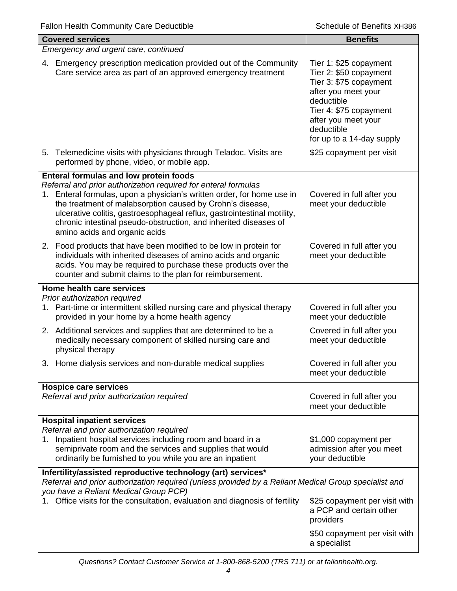| <b>Covered services</b>                                                                                                                                                                                                                                                                                                                                                               | <b>Benefits</b>                                                                                                                                                                                             |  |  |
|---------------------------------------------------------------------------------------------------------------------------------------------------------------------------------------------------------------------------------------------------------------------------------------------------------------------------------------------------------------------------------------|-------------------------------------------------------------------------------------------------------------------------------------------------------------------------------------------------------------|--|--|
| Emergency and urgent care, continued                                                                                                                                                                                                                                                                                                                                                  |                                                                                                                                                                                                             |  |  |
| 4. Emergency prescription medication provided out of the Community<br>Care service area as part of an approved emergency treatment                                                                                                                                                                                                                                                    | Tier 1: \$25 copayment<br>Tier 2: \$50 copayment<br>Tier 3: \$75 copayment<br>after you meet your<br>deductible<br>Tier 4: \$75 copayment<br>after you meet your<br>deductible<br>for up to a 14-day supply |  |  |
| 5. Telemedicine visits with physicians through Teladoc. Visits are<br>performed by phone, video, or mobile app.                                                                                                                                                                                                                                                                       | \$25 copayment per visit                                                                                                                                                                                    |  |  |
| <b>Enteral formulas and low protein foods</b>                                                                                                                                                                                                                                                                                                                                         |                                                                                                                                                                                                             |  |  |
| Referral and prior authorization required for enteral formulas<br>1. Enteral formulas, upon a physician's written order, for home use in<br>the treatment of malabsorption caused by Crohn's disease,<br>ulcerative colitis, gastroesophageal reflux, gastrointestinal motility,<br>chronic intestinal pseudo-obstruction, and inherited diseases of<br>amino acids and organic acids | Covered in full after you<br>meet your deductible                                                                                                                                                           |  |  |
| 2. Food products that have been modified to be low in protein for<br>individuals with inherited diseases of amino acids and organic<br>acids. You may be required to purchase these products over the<br>counter and submit claims to the plan for reimbursement.                                                                                                                     | Covered in full after you<br>meet your deductible                                                                                                                                                           |  |  |
| Home health care services                                                                                                                                                                                                                                                                                                                                                             |                                                                                                                                                                                                             |  |  |
| Prior authorization required<br>1. Part-time or intermittent skilled nursing care and physical therapy<br>provided in your home by a home health agency                                                                                                                                                                                                                               | Covered in full after you<br>meet your deductible                                                                                                                                                           |  |  |
| 2. Additional services and supplies that are determined to be a<br>medically necessary component of skilled nursing care and<br>physical therapy                                                                                                                                                                                                                                      | Covered in full after you<br>meet your deductible                                                                                                                                                           |  |  |
| Home dialysis services and non-durable medical supplies<br>$3 -$                                                                                                                                                                                                                                                                                                                      | Covered in full after you<br>meet your deductible                                                                                                                                                           |  |  |
| <b>Hospice care services</b>                                                                                                                                                                                                                                                                                                                                                          |                                                                                                                                                                                                             |  |  |
| Referral and prior authorization required                                                                                                                                                                                                                                                                                                                                             | Covered in full after you<br>meet your deductible                                                                                                                                                           |  |  |
| <b>Hospital inpatient services</b>                                                                                                                                                                                                                                                                                                                                                    |                                                                                                                                                                                                             |  |  |
| Referral and prior authorization required<br>1. Inpatient hospital services including room and board in a<br>semiprivate room and the services and supplies that would<br>ordinarily be furnished to you while you are an inpatient                                                                                                                                                   | \$1,000 copayment per<br>admission after you meet<br>your deductible                                                                                                                                        |  |  |
| Infertility/assisted reproductive technology (art) services*<br>Referral and prior authorization required (unless provided by a Reliant Medical Group specialist and<br>you have a Reliant Medical Group PCP)                                                                                                                                                                         |                                                                                                                                                                                                             |  |  |
| 1. Office visits for the consultation, evaluation and diagnosis of fertility                                                                                                                                                                                                                                                                                                          | \$25 copayment per visit with<br>a PCP and certain other<br>providers                                                                                                                                       |  |  |
|                                                                                                                                                                                                                                                                                                                                                                                       | \$50 copayment per visit with<br>a specialist                                                                                                                                                               |  |  |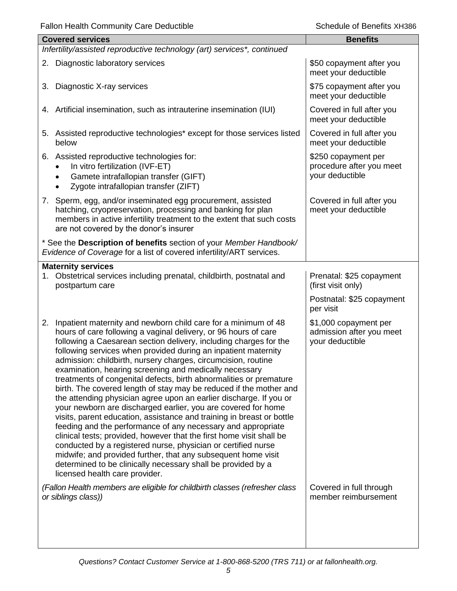| <b>Covered services</b>                                                                                                                                                                                                                                                                                                                                                                                                                                                                                                                                                                                                                                                                                                                                                                                                                                                                                                                                                                                                                                                                                                                           | <b>Benefits</b>                                                      |  |  |
|---------------------------------------------------------------------------------------------------------------------------------------------------------------------------------------------------------------------------------------------------------------------------------------------------------------------------------------------------------------------------------------------------------------------------------------------------------------------------------------------------------------------------------------------------------------------------------------------------------------------------------------------------------------------------------------------------------------------------------------------------------------------------------------------------------------------------------------------------------------------------------------------------------------------------------------------------------------------------------------------------------------------------------------------------------------------------------------------------------------------------------------------------|----------------------------------------------------------------------|--|--|
| Infertility/assisted reproductive technology (art) services*, continued                                                                                                                                                                                                                                                                                                                                                                                                                                                                                                                                                                                                                                                                                                                                                                                                                                                                                                                                                                                                                                                                           |                                                                      |  |  |
| 2. Diagnostic laboratory services                                                                                                                                                                                                                                                                                                                                                                                                                                                                                                                                                                                                                                                                                                                                                                                                                                                                                                                                                                                                                                                                                                                 | \$50 copayment after you<br>meet your deductible                     |  |  |
| Diagnostic X-ray services<br>3.                                                                                                                                                                                                                                                                                                                                                                                                                                                                                                                                                                                                                                                                                                                                                                                                                                                                                                                                                                                                                                                                                                                   | \$75 copayment after you<br>meet your deductible                     |  |  |
| 4. Artificial insemination, such as intrauterine insemination (IUI)                                                                                                                                                                                                                                                                                                                                                                                                                                                                                                                                                                                                                                                                                                                                                                                                                                                                                                                                                                                                                                                                               | Covered in full after you<br>meet your deductible                    |  |  |
| 5. Assisted reproductive technologies* except for those services listed<br>below                                                                                                                                                                                                                                                                                                                                                                                                                                                                                                                                                                                                                                                                                                                                                                                                                                                                                                                                                                                                                                                                  | Covered in full after you<br>meet your deductible                    |  |  |
| 6. Assisted reproductive technologies for:<br>In vitro fertilization (IVF-ET)<br>Gamete intrafallopian transfer (GIFT)<br>Zygote intrafallopian transfer (ZIFT)                                                                                                                                                                                                                                                                                                                                                                                                                                                                                                                                                                                                                                                                                                                                                                                                                                                                                                                                                                                   | \$250 copayment per<br>procedure after you meet<br>your deductible   |  |  |
| 7. Sperm, egg, and/or inseminated egg procurement, assisted<br>hatching, cryopreservation, processing and banking for plan<br>members in active infertility treatment to the extent that such costs<br>are not covered by the donor's insurer                                                                                                                                                                                                                                                                                                                                                                                                                                                                                                                                                                                                                                                                                                                                                                                                                                                                                                     | Covered in full after you<br>meet your deductible                    |  |  |
| * See the Description of benefits section of your Member Handbook/<br>Evidence of Coverage for a list of covered infertility/ART services.                                                                                                                                                                                                                                                                                                                                                                                                                                                                                                                                                                                                                                                                                                                                                                                                                                                                                                                                                                                                        |                                                                      |  |  |
| <b>Maternity services</b><br>1. Obstetrical services including prenatal, childbirth, postnatal and<br>postpartum care                                                                                                                                                                                                                                                                                                                                                                                                                                                                                                                                                                                                                                                                                                                                                                                                                                                                                                                                                                                                                             | Prenatal: \$25 copayment<br>(first visit only)                       |  |  |
|                                                                                                                                                                                                                                                                                                                                                                                                                                                                                                                                                                                                                                                                                                                                                                                                                                                                                                                                                                                                                                                                                                                                                   | Postnatal: \$25 copayment<br>per visit                               |  |  |
| Inpatient maternity and newborn child care for a minimum of 48<br>2.<br>hours of care following a vaginal delivery, or 96 hours of care<br>following a Caesarean section delivery, including charges for the<br>following services when provided during an inpatient maternity<br>admission: childbirth, nursery charges, circumcision, routine<br>examination, hearing screening and medically necessary<br>treatments of congenital defects, birth abnormalities or premature<br>birth. The covered length of stay may be reduced if the mother and<br>the attending physician agree upon an earlier discharge. If you or<br>your newborn are discharged earlier, you are covered for home<br>visits, parent education, assistance and training in breast or bottle<br>feeding and the performance of any necessary and appropriate<br>clinical tests; provided, however that the first home visit shall be<br>conducted by a registered nurse, physician or certified nurse<br>midwife; and provided further, that any subsequent home visit<br>determined to be clinically necessary shall be provided by a<br>licensed health care provider. | \$1,000 copayment per<br>admission after you meet<br>your deductible |  |  |
| (Fallon Health members are eligible for childbirth classes (refresher class<br>or siblings class))                                                                                                                                                                                                                                                                                                                                                                                                                                                                                                                                                                                                                                                                                                                                                                                                                                                                                                                                                                                                                                                | Covered in full through<br>member reimbursement                      |  |  |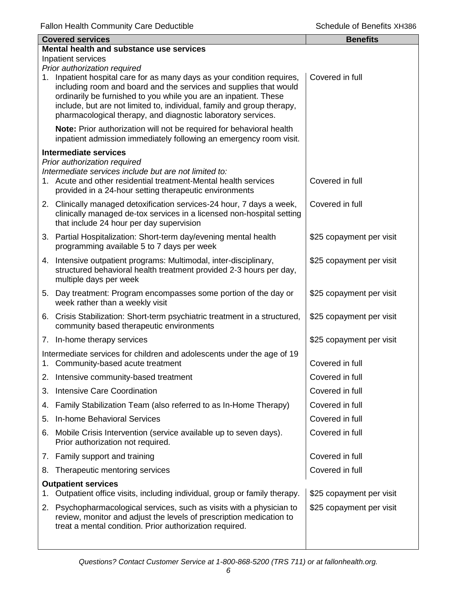|    | <b>Covered services</b>                                                                                                                                                                                                                                                                                                                                                                    | <b>Benefits</b>          |  |  |
|----|--------------------------------------------------------------------------------------------------------------------------------------------------------------------------------------------------------------------------------------------------------------------------------------------------------------------------------------------------------------------------------------------|--------------------------|--|--|
|    | Mental health and substance use services                                                                                                                                                                                                                                                                                                                                                   |                          |  |  |
|    | Inpatient services                                                                                                                                                                                                                                                                                                                                                                         |                          |  |  |
|    | Prior authorization required<br>1. Inpatient hospital care for as many days as your condition requires,<br>including room and board and the services and supplies that would<br>ordinarily be furnished to you while you are an inpatient. These<br>include, but are not limited to, individual, family and group therapy,<br>pharmacological therapy, and diagnostic laboratory services. | Covered in full          |  |  |
|    | Note: Prior authorization will not be required for behavioral health<br>inpatient admission immediately following an emergency room visit.                                                                                                                                                                                                                                                 |                          |  |  |
|    | <b>Intermediate services</b>                                                                                                                                                                                                                                                                                                                                                               |                          |  |  |
|    | Prior authorization required<br>Intermediate services include but are not limited to:<br>1. Acute and other residential treatment-Mental health services<br>provided in a 24-hour setting therapeutic environments                                                                                                                                                                         | Covered in full          |  |  |
|    | 2. Clinically managed detoxification services-24 hour, 7 days a week,<br>clinically managed de-tox services in a licensed non-hospital setting<br>that include 24 hour per day supervision                                                                                                                                                                                                 | Covered in full          |  |  |
|    | 3. Partial Hospitalization: Short-term day/evening mental health<br>programming available 5 to 7 days per week                                                                                                                                                                                                                                                                             | \$25 copayment per visit |  |  |
|    | 4. Intensive outpatient programs: Multimodal, inter-disciplinary,<br>structured behavioral health treatment provided 2-3 hours per day,<br>multiple days per week                                                                                                                                                                                                                          | \$25 copayment per visit |  |  |
| 5. | Day treatment: Program encompasses some portion of the day or<br>week rather than a weekly visit                                                                                                                                                                                                                                                                                           | \$25 copayment per visit |  |  |
|    | 6. Crisis Stabilization: Short-term psychiatric treatment in a structured,<br>community based therapeutic environments                                                                                                                                                                                                                                                                     | \$25 copayment per visit |  |  |
|    | 7. In-home therapy services                                                                                                                                                                                                                                                                                                                                                                | \$25 copayment per visit |  |  |
|    | Intermediate services for children and adolescents under the age of 19<br>1. Community-based acute treatment                                                                                                                                                                                                                                                                               | Covered in full          |  |  |
|    | 2. Intensive community-based treatment                                                                                                                                                                                                                                                                                                                                                     | Covered in full          |  |  |
| 3. | <b>Intensive Care Coordination</b>                                                                                                                                                                                                                                                                                                                                                         | Covered in full          |  |  |
| 4. | Family Stabilization Team (also referred to as In-Home Therapy)                                                                                                                                                                                                                                                                                                                            | Covered in full          |  |  |
| 5. | In-home Behavioral Services                                                                                                                                                                                                                                                                                                                                                                | Covered in full          |  |  |
| 6. | Mobile Crisis Intervention (service available up to seven days).<br>Prior authorization not required.                                                                                                                                                                                                                                                                                      | Covered in full          |  |  |
|    | 7. Family support and training                                                                                                                                                                                                                                                                                                                                                             | Covered in full          |  |  |
| 8. | Therapeutic mentoring services                                                                                                                                                                                                                                                                                                                                                             | Covered in full          |  |  |
| 1. | <b>Outpatient services</b><br>Outpatient office visits, including individual, group or family therapy.                                                                                                                                                                                                                                                                                     | \$25 copayment per visit |  |  |
| 2. | Psychopharmacological services, such as visits with a physician to<br>review, monitor and adjust the levels of prescription medication to<br>treat a mental condition. Prior authorization required.                                                                                                                                                                                       | \$25 copayment per visit |  |  |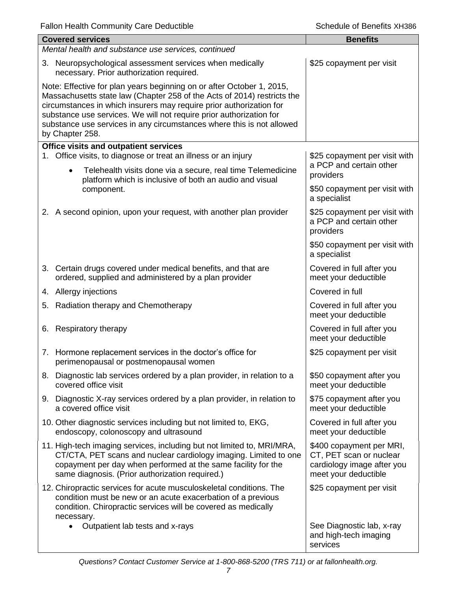|  | <b>Covered services</b>                                                                                                                                                                                                                                                                                                                                                                    | <b>Benefits</b>                                                                                           |  |  |
|--|--------------------------------------------------------------------------------------------------------------------------------------------------------------------------------------------------------------------------------------------------------------------------------------------------------------------------------------------------------------------------------------------|-----------------------------------------------------------------------------------------------------------|--|--|
|  | Mental health and substance use services, continued                                                                                                                                                                                                                                                                                                                                        |                                                                                                           |  |  |
|  | 3. Neuropsychological assessment services when medically<br>necessary. Prior authorization required.                                                                                                                                                                                                                                                                                       | \$25 copayment per visit                                                                                  |  |  |
|  | Note: Effective for plan years beginning on or after October 1, 2015,<br>Massachusetts state law (Chapter 258 of the Acts of 2014) restricts the<br>circumstances in which insurers may require prior authorization for<br>substance use services. We will not require prior authorization for<br>substance use services in any circumstances where this is not allowed<br>by Chapter 258. |                                                                                                           |  |  |
|  | <b>Office visits and outpatient services</b>                                                                                                                                                                                                                                                                                                                                               |                                                                                                           |  |  |
|  | 1. Office visits, to diagnose or treat an illness or an injury<br>Telehealth visits done via a secure, real time Telemedicine<br>$\bullet$<br>platform which is inclusive of both an audio and visual<br>component.                                                                                                                                                                        | \$25 copayment per visit with<br>a PCP and certain other<br>providers                                     |  |  |
|  |                                                                                                                                                                                                                                                                                                                                                                                            | \$50 copayment per visit with<br>a specialist                                                             |  |  |
|  | 2. A second opinion, upon your request, with another plan provider                                                                                                                                                                                                                                                                                                                         | \$25 copayment per visit with<br>a PCP and certain other<br>providers                                     |  |  |
|  |                                                                                                                                                                                                                                                                                                                                                                                            | \$50 copayment per visit with<br>a specialist                                                             |  |  |
|  | 3. Certain drugs covered under medical benefits, and that are<br>ordered, supplied and administered by a plan provider                                                                                                                                                                                                                                                                     | Covered in full after you<br>meet your deductible                                                         |  |  |
|  | 4. Allergy injections                                                                                                                                                                                                                                                                                                                                                                      | Covered in full                                                                                           |  |  |
|  | 5. Radiation therapy and Chemotherapy                                                                                                                                                                                                                                                                                                                                                      | Covered in full after you<br>meet your deductible                                                         |  |  |
|  | 6. Respiratory therapy                                                                                                                                                                                                                                                                                                                                                                     | Covered in full after you<br>meet your deductible                                                         |  |  |
|  | 7. Hormone replacement services in the doctor's office for<br>perimenopausal or postmenopausal women                                                                                                                                                                                                                                                                                       | \$25 copayment per visit                                                                                  |  |  |
|  | 8. Diagnostic lab services ordered by a plan provider, in relation to a<br>covered office visit                                                                                                                                                                                                                                                                                            | \$50 copayment after you<br>meet your deductible                                                          |  |  |
|  | 9. Diagnostic X-ray services ordered by a plan provider, in relation to<br>a covered office visit                                                                                                                                                                                                                                                                                          | \$75 copayment after you<br>meet your deductible                                                          |  |  |
|  | 10. Other diagnostic services including but not limited to, EKG,<br>endoscopy, colonoscopy and ultrasound                                                                                                                                                                                                                                                                                  | Covered in full after you<br>meet your deductible                                                         |  |  |
|  | 11. High-tech imaging services, including but not limited to, MRI/MRA,<br>CT/CTA, PET scans and nuclear cardiology imaging. Limited to one<br>copayment per day when performed at the same facility for the<br>same diagnosis. (Prior authorization required.)                                                                                                                             | \$400 copayment per MRI,<br>CT, PET scan or nuclear<br>cardiology image after you<br>meet your deductible |  |  |
|  | 12. Chiropractic services for acute musculoskeletal conditions. The<br>condition must be new or an acute exacerbation of a previous<br>condition. Chiropractic services will be covered as medically                                                                                                                                                                                       | \$25 copayment per visit                                                                                  |  |  |
|  | necessary.<br>Outpatient lab tests and x-rays                                                                                                                                                                                                                                                                                                                                              | See Diagnostic lab, x-ray<br>and high-tech imaging<br>services                                            |  |  |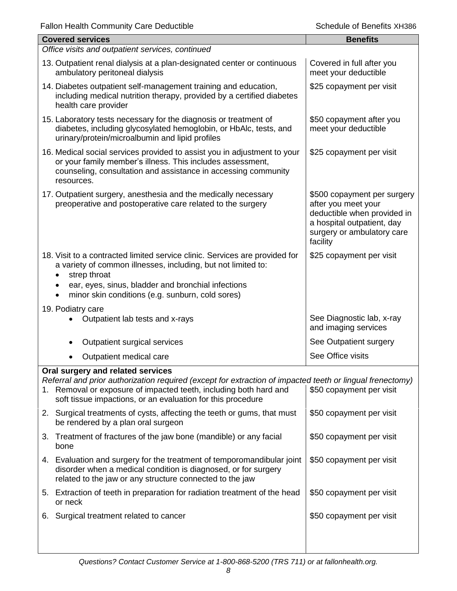| <b>Covered services</b> |                                                                                                                                                                                                                                                                                    | <b>Benefits</b>                                                                                                                                           |  |  |
|-------------------------|------------------------------------------------------------------------------------------------------------------------------------------------------------------------------------------------------------------------------------------------------------------------------------|-----------------------------------------------------------------------------------------------------------------------------------------------------------|--|--|
|                         | Office visits and outpatient services, continued                                                                                                                                                                                                                                   |                                                                                                                                                           |  |  |
|                         | 13. Outpatient renal dialysis at a plan-designated center or continuous<br>ambulatory peritoneal dialysis                                                                                                                                                                          | Covered in full after you<br>meet your deductible                                                                                                         |  |  |
| health care provider    | 14. Diabetes outpatient self-management training and education,<br>including medical nutrition therapy, provided by a certified diabetes                                                                                                                                           | \$25 copayment per visit                                                                                                                                  |  |  |
|                         | 15. Laboratory tests necessary for the diagnosis or treatment of<br>diabetes, including glycosylated hemoglobin, or HbAlc, tests, and<br>urinary/protein/microalbumin and lipid profiles                                                                                           | \$50 copayment after you<br>meet your deductible                                                                                                          |  |  |
| resources.              | 16. Medical social services provided to assist you in adjustment to your<br>or your family member's illness. This includes assessment,<br>counseling, consultation and assistance in accessing community                                                                           | \$25 copayment per visit                                                                                                                                  |  |  |
|                         | 17. Outpatient surgery, anesthesia and the medically necessary<br>preoperative and postoperative care related to the surgery                                                                                                                                                       | \$500 copayment per surgery<br>after you meet your<br>deductible when provided in<br>a hospital outpatient, day<br>surgery or ambulatory care<br>facility |  |  |
| strep throat            | 18. Visit to a contracted limited service clinic. Services are provided for<br>a variety of common illnesses, including, but not limited to:<br>ear, eyes, sinus, bladder and bronchial infections<br>minor skin conditions (e.g. sunburn, cold sores)                             | \$25 copayment per visit                                                                                                                                  |  |  |
| 19. Podiatry care       |                                                                                                                                                                                                                                                                                    |                                                                                                                                                           |  |  |
|                         | Outpatient lab tests and x-rays                                                                                                                                                                                                                                                    | See Diagnostic lab, x-ray<br>and imaging services                                                                                                         |  |  |
| ٠                       | Outpatient surgical services                                                                                                                                                                                                                                                       | See Outpatient surgery                                                                                                                                    |  |  |
|                         | Outpatient medical care                                                                                                                                                                                                                                                            | See Office visits                                                                                                                                         |  |  |
|                         | Oral surgery and related services<br>Referral and prior authorization required (except for extraction of impacted teeth or lingual frenectomy)<br>1. Removal or exposure of impacted teeth, including both hard and<br>soft tissue impactions, or an evaluation for this procedure | \$50 copayment per visit                                                                                                                                  |  |  |
|                         | 2. Surgical treatments of cysts, affecting the teeth or gums, that must<br>be rendered by a plan oral surgeon                                                                                                                                                                      | \$50 copayment per visit                                                                                                                                  |  |  |
| 3.<br>bone              | Treatment of fractures of the jaw bone (mandible) or any facial                                                                                                                                                                                                                    | \$50 copayment per visit                                                                                                                                  |  |  |
|                         | 4. Evaluation and surgery for the treatment of temporomandibular joint<br>disorder when a medical condition is diagnosed, or for surgery<br>related to the jaw or any structure connected to the jaw                                                                               | \$50 copayment per visit                                                                                                                                  |  |  |
| or neck                 | 5. Extraction of teeth in preparation for radiation treatment of the head                                                                                                                                                                                                          | \$50 copayment per visit                                                                                                                                  |  |  |
| 6.                      | Surgical treatment related to cancer                                                                                                                                                                                                                                               | \$50 copayment per visit                                                                                                                                  |  |  |
|                         |                                                                                                                                                                                                                                                                                    |                                                                                                                                                           |  |  |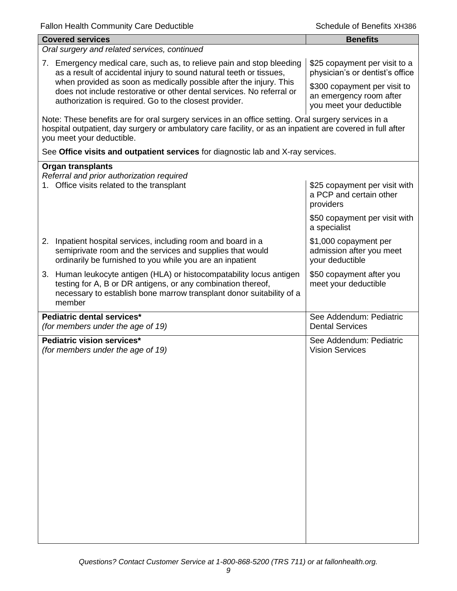| <b>Benefits</b>                                                                                                                                                                                                   |
|-------------------------------------------------------------------------------------------------------------------------------------------------------------------------------------------------------------------|
|                                                                                                                                                                                                                   |
| \$25 copayment per visit to a<br>physician's or dentist's office                                                                                                                                                  |
| \$300 copayment per visit to<br>an emergency room after<br>you meet your deductible                                                                                                                               |
| Note: These benefits are for oral surgery services in an office setting. Oral surgery services in a<br>hospital outpatient, day surgery or ambulatory care facility, or as an inpatient are covered in full after |
| See Office visits and outpatient services for diagnostic lab and X-ray services.                                                                                                                                  |
|                                                                                                                                                                                                                   |
| \$25 copayment per visit with<br>a PCP and certain other<br>providers                                                                                                                                             |
| \$50 copayment per visit with<br>a specialist                                                                                                                                                                     |
| \$1,000 copayment per<br>admission after you meet<br>your deductible                                                                                                                                              |
| \$50 copayment after you<br>meet your deductible                                                                                                                                                                  |
| See Addendum: Pediatric<br><b>Dental Services</b>                                                                                                                                                                 |
| See Addendum: Pediatric<br><b>Vision Services</b>                                                                                                                                                                 |
|                                                                                                                                                                                                                   |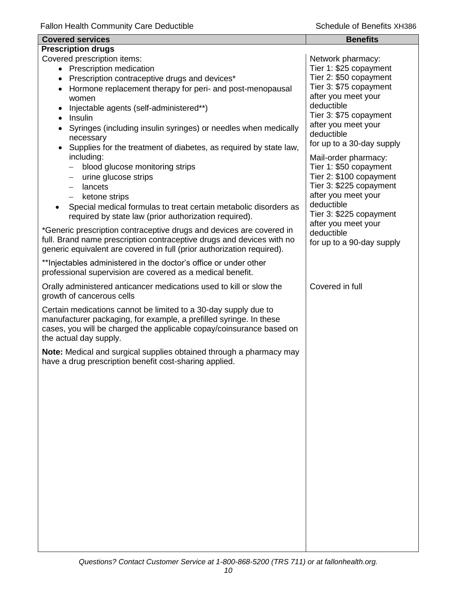| <b>Covered services</b>                                                                                                                                                                                                                                                                                                                                                                                                                                                                                                                                                                   | <b>Benefits</b>                                                                                                                                                                                                                                                                                                                                                 |
|-------------------------------------------------------------------------------------------------------------------------------------------------------------------------------------------------------------------------------------------------------------------------------------------------------------------------------------------------------------------------------------------------------------------------------------------------------------------------------------------------------------------------------------------------------------------------------------------|-----------------------------------------------------------------------------------------------------------------------------------------------------------------------------------------------------------------------------------------------------------------------------------------------------------------------------------------------------------------|
| <b>Prescription drugs</b>                                                                                                                                                                                                                                                                                                                                                                                                                                                                                                                                                                 |                                                                                                                                                                                                                                                                                                                                                                 |
| Covered prescription items:<br>• Prescription medication<br>Prescription contraceptive drugs and devices*<br>Hormone replacement therapy for peri- and post-menopausal<br>women<br>Injectable agents (self-administered**)<br>Insulin<br>$\bullet$<br>Syringes (including insulin syringes) or needles when medically<br>necessary<br>Supplies for the treatment of diabetes, as required by state law,<br>including:<br>blood glucose monitoring strips<br>$\qquad \qquad -$<br>urine glucose strips<br>$\qquad \qquad -$<br>lancets<br>$\overline{\phantom{0}}$<br>ketone strips<br>$-$ | Network pharmacy:<br>Tier 1: \$25 copayment<br>Tier 2: \$50 copayment<br>Tier 3: \$75 copayment<br>after you meet your<br>deductible<br>Tier 3: \$75 copayment<br>after you meet your<br>deductible<br>for up to a 30-day supply<br>Mail-order pharmacy:<br>Tier 1: \$50 copayment<br>Tier 2: \$100 copayment<br>Tier 3: \$225 copayment<br>after you meet your |
| Special medical formulas to treat certain metabolic disorders as<br>required by state law (prior authorization required).                                                                                                                                                                                                                                                                                                                                                                                                                                                                 | deductible<br>Tier 3: \$225 copayment                                                                                                                                                                                                                                                                                                                           |
| *Generic prescription contraceptive drugs and devices are covered in<br>full. Brand name prescription contraceptive drugs and devices with no<br>generic equivalent are covered in full (prior authorization required).                                                                                                                                                                                                                                                                                                                                                                   | after you meet your<br>deductible<br>for up to a 90-day supply                                                                                                                                                                                                                                                                                                  |
| ** Injectables administered in the doctor's office or under other<br>professional supervision are covered as a medical benefit.                                                                                                                                                                                                                                                                                                                                                                                                                                                           |                                                                                                                                                                                                                                                                                                                                                                 |
| Orally administered anticancer medications used to kill or slow the<br>growth of cancerous cells                                                                                                                                                                                                                                                                                                                                                                                                                                                                                          | Covered in full                                                                                                                                                                                                                                                                                                                                                 |
| Certain medications cannot be limited to a 30-day supply due to<br>manufacturer packaging, for example, a prefilled syringe. In these<br>cases, you will be charged the applicable copay/coinsurance based on<br>the actual day supply.                                                                                                                                                                                                                                                                                                                                                   |                                                                                                                                                                                                                                                                                                                                                                 |
| Note: Medical and surgical supplies obtained through a pharmacy may<br>have a drug prescription benefit cost-sharing applied.                                                                                                                                                                                                                                                                                                                                                                                                                                                             |                                                                                                                                                                                                                                                                                                                                                                 |
|                                                                                                                                                                                                                                                                                                                                                                                                                                                                                                                                                                                           |                                                                                                                                                                                                                                                                                                                                                                 |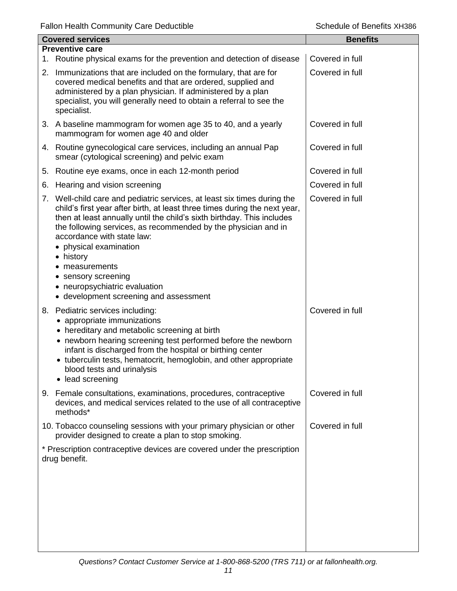|    | <b>Covered services</b>                                                                                                                                                                                                                                                                                                                                                                                                                                                                   | <b>Benefits</b> |
|----|-------------------------------------------------------------------------------------------------------------------------------------------------------------------------------------------------------------------------------------------------------------------------------------------------------------------------------------------------------------------------------------------------------------------------------------------------------------------------------------------|-----------------|
|    | <b>Preventive care</b>                                                                                                                                                                                                                                                                                                                                                                                                                                                                    |                 |
|    | 1. Routine physical exams for the prevention and detection of disease                                                                                                                                                                                                                                                                                                                                                                                                                     | Covered in full |
|    | 2. Immunizations that are included on the formulary, that are for<br>covered medical benefits and that are ordered, supplied and<br>administered by a plan physician. If administered by a plan<br>specialist, you will generally need to obtain a referral to see the<br>specialist.                                                                                                                                                                                                     | Covered in full |
|    | 3. A baseline mammogram for women age 35 to 40, and a yearly<br>mammogram for women age 40 and older                                                                                                                                                                                                                                                                                                                                                                                      | Covered in full |
|    | 4. Routine gynecological care services, including an annual Pap<br>smear (cytological screening) and pelvic exam                                                                                                                                                                                                                                                                                                                                                                          | Covered in full |
| 5. | Routine eye exams, once in each 12-month period                                                                                                                                                                                                                                                                                                                                                                                                                                           | Covered in full |
| 6. | Hearing and vision screening                                                                                                                                                                                                                                                                                                                                                                                                                                                              | Covered in full |
|    | 7. Well-child care and pediatric services, at least six times during the<br>child's first year after birth, at least three times during the next year,<br>then at least annually until the child's sixth birthday. This includes<br>the following services, as recommended by the physician and in<br>accordance with state law:<br>• physical examination<br>• history<br>measurements<br>• sensory screening<br>• neuropsychiatric evaluation<br>• development screening and assessment | Covered in full |
|    | 8. Pediatric services including:<br>appropriate immunizations<br>• hereditary and metabolic screening at birth<br>• newborn hearing screening test performed before the newborn<br>infant is discharged from the hospital or birthing center<br>• tuberculin tests, hematocrit, hemoglobin, and other appropriate<br>blood tests and urinalysis<br>lead screening                                                                                                                         | Covered in full |
|    | 9. Female consultations, examinations, procedures, contraceptive<br>devices, and medical services related to the use of all contraceptive<br>methods*                                                                                                                                                                                                                                                                                                                                     | Covered in full |
|    | 10. Tobacco counseling sessions with your primary physician or other<br>provider designed to create a plan to stop smoking.                                                                                                                                                                                                                                                                                                                                                               | Covered in full |
|    | * Prescription contraceptive devices are covered under the prescription<br>drug benefit.                                                                                                                                                                                                                                                                                                                                                                                                  |                 |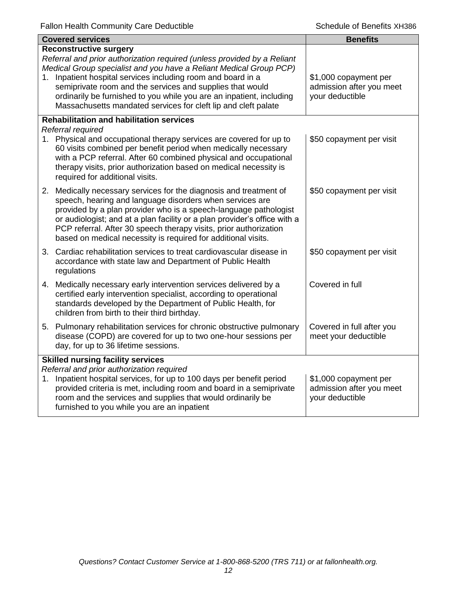|    | <b>Covered services</b>                                                                                                                                                                                                                                                                                                                                                                                                                            | <b>Benefits</b>                                                      |
|----|----------------------------------------------------------------------------------------------------------------------------------------------------------------------------------------------------------------------------------------------------------------------------------------------------------------------------------------------------------------------------------------------------------------------------------------------------|----------------------------------------------------------------------|
| 1. | <b>Reconstructive surgery</b><br>Referral and prior authorization required (unless provided by a Reliant<br>Medical Group specialist and you have a Reliant Medical Group PCP)<br>Inpatient hospital services including room and board in a<br>semiprivate room and the services and supplies that would<br>ordinarily be furnished to you while you are an inpatient, including<br>Massachusetts mandated services for cleft lip and cleft palate | \$1,000 copayment per<br>admission after you meet<br>your deductible |
|    | <b>Rehabilitation and habilitation services</b>                                                                                                                                                                                                                                                                                                                                                                                                    |                                                                      |
|    | Referral required<br>1. Physical and occupational therapy services are covered for up to<br>60 visits combined per benefit period when medically necessary<br>with a PCP referral. After 60 combined physical and occupational<br>therapy visits, prior authorization based on medical necessity is<br>required for additional visits.                                                                                                             | \$50 copayment per visit                                             |
|    | 2. Medically necessary services for the diagnosis and treatment of<br>speech, hearing and language disorders when services are<br>provided by a plan provider who is a speech-language pathologist<br>or audiologist; and at a plan facility or a plan provider's office with a<br>PCP referral. After 30 speech therapy visits, prior authorization<br>based on medical necessity is required for additional visits.                              | \$50 copayment per visit                                             |
|    | 3. Cardiac rehabilitation services to treat cardiovascular disease in<br>accordance with state law and Department of Public Health<br>regulations                                                                                                                                                                                                                                                                                                  | \$50 copayment per visit                                             |
|    | 4. Medically necessary early intervention services delivered by a<br>certified early intervention specialist, according to operational<br>standards developed by the Department of Public Health, for<br>children from birth to their third birthday.                                                                                                                                                                                              | Covered in full                                                      |
|    | 5. Pulmonary rehabilitation services for chronic obstructive pulmonary<br>disease (COPD) are covered for up to two one-hour sessions per<br>day, for up to 36 lifetime sessions.                                                                                                                                                                                                                                                                   | Covered in full after you<br>meet your deductible                    |
|    | <b>Skilled nursing facility services</b><br>Referral and prior authorization required<br>1. Inpatient hospital services, for up to 100 days per benefit period<br>provided criteria is met, including room and board in a semiprivate<br>room and the services and supplies that would ordinarily be<br>furnished to you while you are an inpatient                                                                                                | \$1,000 copayment per<br>admission after you meet<br>your deductible |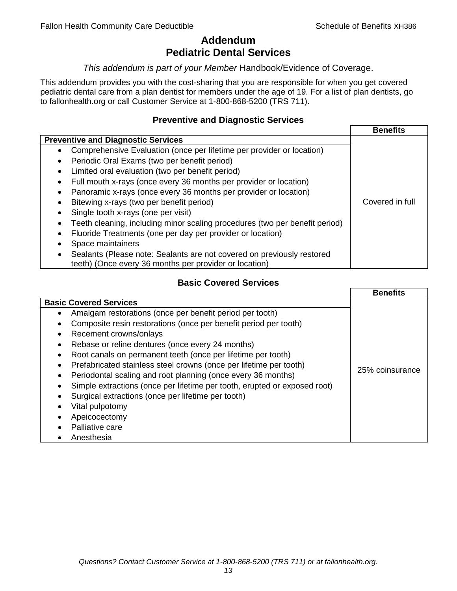## **Addendum Pediatric Dental Services**

#### *This addendum is part of your Member* Handbook/Evidence of Coverage.

This addendum provides you with the cost-sharing that you are responsible for when you get covered pediatric dental care from a plan dentist for members under the age of 19. For a list of plan dentists, go to fallonhealth.org or call Customer Service at 1-800-868-5200 (TRS 711).

#### **Preventive and Diagnostic Services**

|                                                                                    | <b>Benefits</b> |
|------------------------------------------------------------------------------------|-----------------|
| <b>Preventive and Diagnostic Services</b>                                          |                 |
| Comprehensive Evaluation (once per lifetime per provider or location)<br>$\bullet$ |                 |
| Periodic Oral Exams (two per benefit period)<br>$\bullet$                          |                 |
| Limited oral evaluation (two per benefit period)<br>$\bullet$                      |                 |
| Full mouth x-rays (once every 36 months per provider or location)                  |                 |
| Panoramic x-rays (once every 36 months per provider or location)                   |                 |
| Bitewing x-rays (two per benefit period)<br>٠                                      | Covered in full |
| Single tooth x-rays (one per visit)                                                |                 |
| Teeth cleaning, including minor scaling procedures (two per benefit period)        |                 |
| Fluoride Treatments (one per day per provider or location)                         |                 |
| Space maintainers                                                                  |                 |
| Sealants (Please note: Sealants are not covered on previously restored             |                 |
| teeth) (Once every 36 months per provider or location)                             |                 |

### **Basic Covered Services**

|                                                                                                                                                                                                                                                                                                                                                                                                                                                                | <b>Benefits</b> |
|----------------------------------------------------------------------------------------------------------------------------------------------------------------------------------------------------------------------------------------------------------------------------------------------------------------------------------------------------------------------------------------------------------------------------------------------------------------|-----------------|
| <b>Basic Covered Services</b><br>Amalgam restorations (once per benefit period per tooth)<br>Composite resin restorations (once per benefit period per tooth)<br>Recement crowns/onlays                                                                                                                                                                                                                                                                        |                 |
| Rebase or reline dentures (once every 24 months)<br>Root canals on permanent teeth (once per lifetime per tooth)<br>Prefabricated stainless steel crowns (once per lifetime per tooth)<br>Periodontal scaling and root planning (once every 36 months)<br>Simple extractions (once per lifetime per tooth, erupted or exposed root)<br>Surgical extractions (once per lifetime per tooth)<br>Vital pulpotomy<br>Apeicocectomy<br>Palliative care<br>Anesthesia | 25% coinsurance |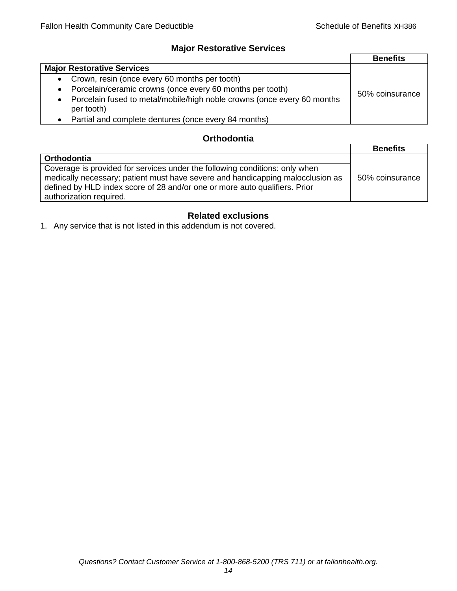## **Major Restorative Services**

|                                                                                                    | <b>Benefits</b> |
|----------------------------------------------------------------------------------------------------|-----------------|
| <b>Major Restorative Services</b>                                                                  |                 |
| • Crown, resin (once every 60 months per tooth)                                                    |                 |
| Porcelain/ceramic crowns (once every 60 months per tooth)<br>$\bullet$                             | 50% coinsurance |
| Porcelain fused to metal/mobile/high noble crowns (once every 60 months<br>$\bullet$<br>per tooth) |                 |
| • Partial and complete dentures (once every 84 months)                                             |                 |

## **Orthodontia**

|                                                                                                                                                                                                                                                                        | <b>Benefits</b> |
|------------------------------------------------------------------------------------------------------------------------------------------------------------------------------------------------------------------------------------------------------------------------|-----------------|
| Orthodontia                                                                                                                                                                                                                                                            |                 |
| Coverage is provided for services under the following conditions: only when<br>medically necessary; patient must have severe and handicapping malocclusion as<br>defined by HLD index score of 28 and/or one or more auto qualifiers. Prior<br>authorization required. | 50% coinsurance |

## **Related exclusions**

1. Any service that is not listed in this addendum is not covered.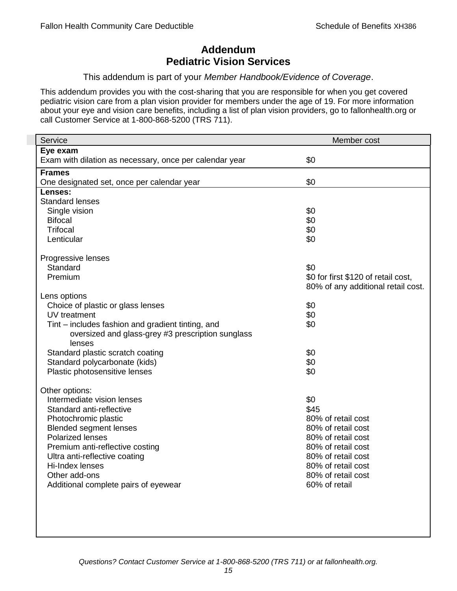## **Addendum Pediatric Vision Services**

#### This addendum is part of your *Member Handbook/Evidence of Coverage*.

This addendum provides you with the cost-sharing that you are responsible for when you get covered pediatric vision care from a plan vision provider for members under the age of 19. For more information about your eye and vision care benefits, including a list of plan vision providers, go to fallonhealth.org or call Customer Service at 1-800-868-5200 (TRS 711).

| Service                                                 | Member cost                         |
|---------------------------------------------------------|-------------------------------------|
| Eye exam                                                |                                     |
| Exam with dilation as necessary, once per calendar year | \$0                                 |
| <b>Frames</b>                                           |                                     |
| One designated set, once per calendar year              | \$0                                 |
| Lenses:                                                 |                                     |
| <b>Standard lenses</b>                                  |                                     |
| Single vision                                           | \$0                                 |
| <b>Bifocal</b>                                          | \$0                                 |
| <b>Trifocal</b>                                         | \$0                                 |
| Lenticular                                              | \$0                                 |
| Progressive lenses                                      |                                     |
| Standard                                                | \$0                                 |
| Premium                                                 | \$0 for first \$120 of retail cost, |
|                                                         | 80% of any additional retail cost.  |
| Lens options                                            |                                     |
| Choice of plastic or glass lenses                       | \$0                                 |
| UV treatment                                            | \$0                                 |
| Tint – includes fashion and gradient tinting, and       | \$0                                 |
| oversized and glass-grey #3 prescription sunglass       |                                     |
| lenses                                                  |                                     |
| Standard plastic scratch coating                        | \$0                                 |
| Standard polycarbonate (kids)                           | \$0                                 |
| Plastic photosensitive lenses                           | \$0                                 |
|                                                         |                                     |
| Other options:<br>Intermediate vision lenses            | \$0                                 |
| Standard anti-reflective                                | \$45                                |
| Photochromic plastic                                    | 80% of retail cost                  |
| <b>Blended segment lenses</b>                           | 80% of retail cost                  |
| <b>Polarized lenses</b>                                 | 80% of retail cost                  |
| Premium anti-reflective costing                         | 80% of retail cost                  |
| Ultra anti-reflective coating                           | 80% of retail cost                  |
| Hi-Index lenses                                         | 80% of retail cost                  |
| Other add-ons                                           | 80% of retail cost                  |
| Additional complete pairs of eyewear                    | 60% of retail                       |
|                                                         |                                     |
|                                                         |                                     |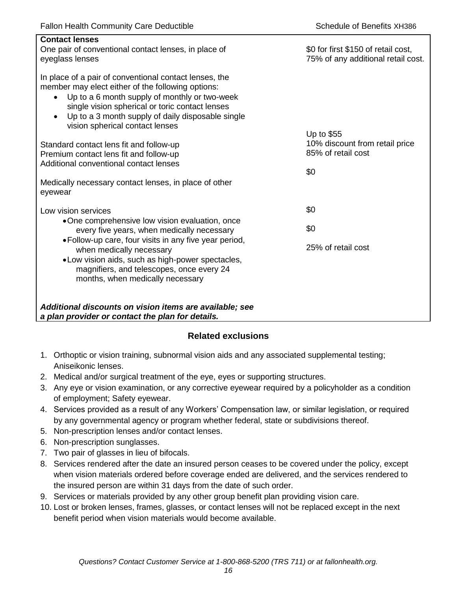| <b>Contact lenses</b><br>One pair of conventional contact lenses, in place of<br>eyeglass lenses                                                                                                                                                                                                                                  | \$0 for first \$150 of retail cost,<br>75% of any additional retail cost. |
|-----------------------------------------------------------------------------------------------------------------------------------------------------------------------------------------------------------------------------------------------------------------------------------------------------------------------------------|---------------------------------------------------------------------------|
| In place of a pair of conventional contact lenses, the<br>member may elect either of the following options:<br>Up to a 6 month supply of monthly or two-week<br>$\bullet$<br>single vision spherical or toric contact lenses<br>Up to a 3 month supply of daily disposable single<br>$\bullet$<br>vision spherical contact lenses |                                                                           |
| Standard contact lens fit and follow-up<br>Premium contact lens fit and follow-up<br>Additional conventional contact lenses                                                                                                                                                                                                       | Up to \$55<br>10% discount from retail price<br>85% of retail cost<br>\$0 |
| Medically necessary contact lenses, in place of other<br>eyewear                                                                                                                                                                                                                                                                  |                                                                           |
| Low vision services                                                                                                                                                                                                                                                                                                               | \$0                                                                       |
| •One comprehensive low vision evaluation, once<br>every five years, when medically necessary                                                                                                                                                                                                                                      | \$0                                                                       |
| • Follow-up care, four visits in any five year period,<br>when medically necessary<br>• Low vision aids, such as high-power spectacles,<br>magnifiers, and telescopes, once every 24<br>months, when medically necessary                                                                                                          | 25% of retail cost                                                        |
| Additional discounts on vision items are available; see<br>a plan provider or contact the plan for details.                                                                                                                                                                                                                       |                                                                           |

## **Related exclusions**

- 1. Orthoptic or vision training, subnormal vision aids and any associated supplemental testing; Aniseikonic lenses.
- 2. Medical and/or surgical treatment of the eye, eyes or supporting structures.
- 3. Any eye or vision examination, or any corrective eyewear required by a policyholder as a condition of employment; Safety eyewear.
- 4. Services provided as a result of any Workers' Compensation law, or similar legislation, or required by any governmental agency or program whether federal, state or subdivisions thereof.
- 5. Non-prescription lenses and/or contact lenses.
- 6. Non-prescription sunglasses.
- 7. Two pair of glasses in lieu of bifocals.
- 8. Services rendered after the date an insured person ceases to be covered under the policy, except when vision materials ordered before coverage ended are delivered, and the services rendered to the insured person are within 31 days from the date of such order.
- 9. Services or materials provided by any other group benefit plan providing vision care.
- 10. Lost or broken lenses, frames, glasses, or contact lenses will not be replaced except in the next benefit period when vision materials would become available.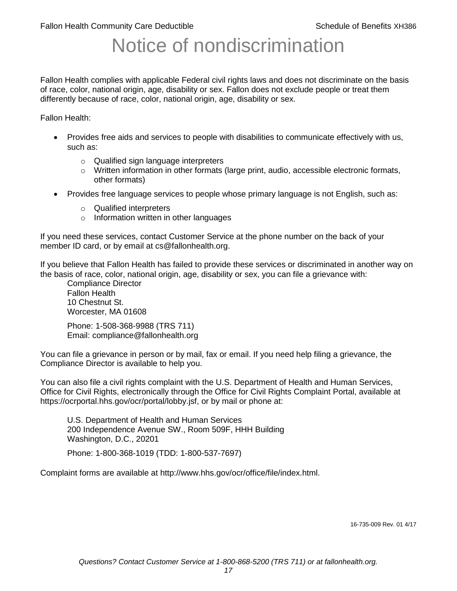# Notice of nondiscrimination

Fallon Health complies with applicable Federal civil rights laws and does not discriminate on the basis of race, color, national origin, age, disability or sex. Fallon does not exclude people or treat them differently because of race, color, national origin, age, disability or sex.

Fallon Health:

- Provides free aids and services to people with disabilities to communicate effectively with us, such as:
	- o Qualified sign language interpreters
	- $\circ$  Written information in other formats (large print, audio, accessible electronic formats, other formats)
- Provides free language services to people whose primary language is not English, such as:
	- o Qualified interpreters
	- o Information written in other languages

If you need these services, contact Customer Service at the phone number on the back of your member ID card, or by email at cs@fallonhealth.org.

If you believe that Fallon Health has failed to provide these services or discriminated in another way on the basis of race, color, national origin, age, disability or sex, you can file a grievance with:

Compliance Director Fallon Health 10 Chestnut St. Worcester, MA 01608

Phone: 1-508-368-9988 (TRS 711) Email: compliance@fallonhealth.org

You can file a grievance in person or by mail, fax or email. If you need help filing a grievance, the Compliance Director is available to help you.

You can also file a civil rights complaint with the U.S. Department of Health and Human Services, Office for Civil Rights, electronically through the Office for Civil Rights Complaint Portal, available at https://ocrportal.hhs.gov/ocr/portal/lobby.jsf, or by mail or phone at:

U.S. Department of Health and Human Services 200 Independence Avenue SW., Room 509F, HHH Building Washington, D.C., 20201

Phone: 1-800-368-1019 (TDD: 1-800-537-7697)

Complaint forms are available at http://www.hhs.gov/ocr/office/file/index.html.

16-735-009 Rev. 01 4/17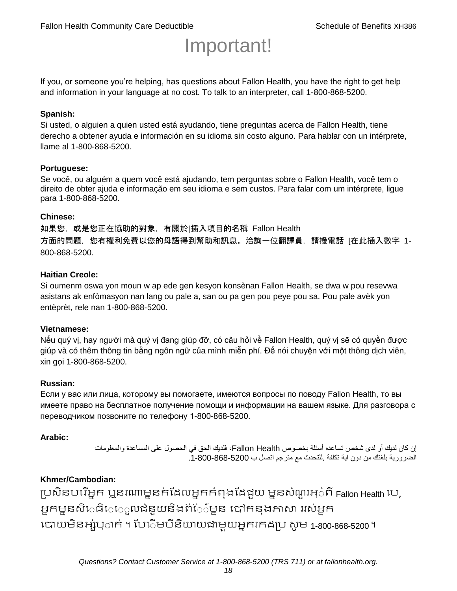# Important!

If you, or someone you're helping, has questions about Fallon Health, you have the right to get help and information in your language at no cost. To talk to an interpreter, call 1-800-868-5200.

#### **Spanish:**

Si usted, o alguien a quien usted está ayudando, tiene preguntas acerca de Fallon Health, tiene derecho a obtener ayuda e información en su idioma sin costo alguno. Para hablar con un intérprete, llame al 1-800-868-5200.

#### **Portuguese:**

Se você, ou alguém a quem você está ajudando, tem perguntas sobre o Fallon Health, você tem o direito de obter ajuda e informação em seu idioma e sem custos. Para falar com um intérprete, ligue para 1-800-868-5200.

#### **Chinese:**

如果您,或是您正在協助的對象,有關於[插入項目的名稱 Fallon Health 方面的問題, 您有權利免費以您的母語得到幫助和訊息。洽詢一位翻譯員, 請撥電話 [在此插入數字 1-800-868-5200.

#### **Haitian Creole:**

Si oumenm oswa yon moun w ap ede gen kesyon konsènan Fallon Health, se dwa w pou resevwa asistans ak enfòmasyon nan lang ou pale a, san ou pa gen pou peye pou sa. Pou pale avèk yon entèprèt, rele nan 1-800-868-5200.

#### **Vietnamese:**

Nếu quý vị, hay người mà quý vị đang giúp đỡ, có câu hỏi về Fallon Health, quý vị sẽ có quyền được giúp và có thêm thông tin bằng ngôn ngữ của mình miễn phí. Để nói chuyện với một thông dịch viên, xin gọi 1-800-868-5200.

#### **Russian:**

Если у вас или лица, которому вы помогаете, имеются вопросы по поводу Fallon Health, то вы имеете право на бесплатное получение помощи и информации на вашем языке. Для разговора с переводчиком позвоните по телефону 1-800-868-5200.

#### **Arabic:**

إن كان لديك أو لدى شخص تساعده أسئلة بخصوص Health Fallon، فلديك الحق في الحصول على المساعدة والمعلومات الضرورية بلغتك من دون اية تكلفة .للتحدث مع مترجم اتصل ب .1-800-868-5200

#### **Khmer/Cambodian:**

ប្រសិនបរើអ្នក ឬនរណាម្ននក់ដែលអ្នកកំពុងដែជយ ម្ននសំណួរអ្៎ពី Fallon Health រប, អ្នកម្ននសិេធិេេ្លលជំនួយនិងព័ែ៌ម្នន បៅកនុងភាសា ររស់អ្នក រោយម្ិនអ្ស់រ្ំ ក់ ។ ដររំម្ រនី ិយាយជាម្ួយអ្នក កែប្រ សូ ម្ 1-800-868-5200 ។